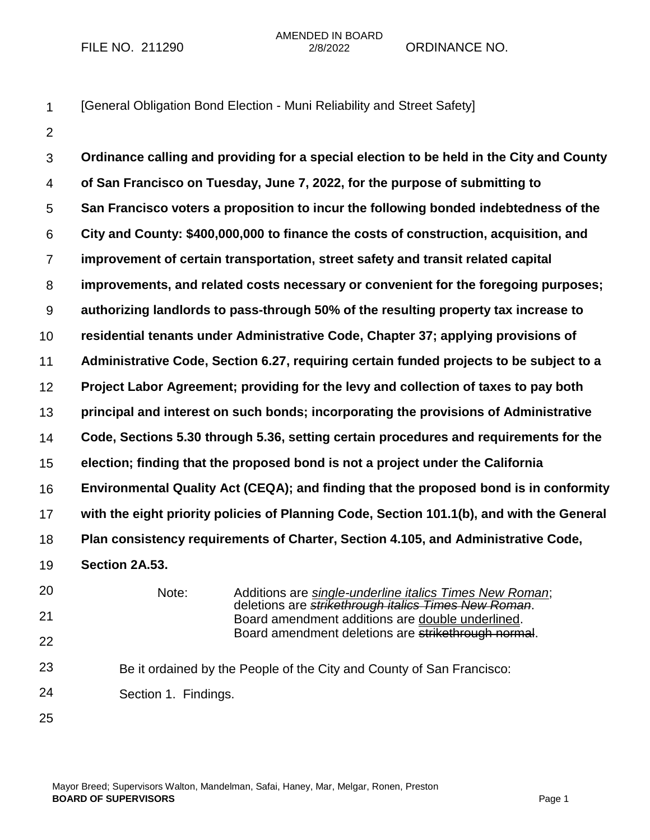AMENDED IN BOARD FILE NO. 211290 2/8/2022 ORDINANCE NO.

[General Obligation Bond Election - Muni Reliability and Street Safety]

1 2

3 4 5 6 7 8 9 10 11 12 13 14 15 16 17 18 19 20 21 22 23 24 25 **Ordinance calling and providing for a special election to be held in the City and County of San Francisco on Tuesday, June 7, 2022, for the purpose of submitting to San Francisco voters a proposition to incur the following bonded indebtedness of the City and County: \$400,000,000 to finance the costs of construction, acquisition, and improvement of certain transportation, street safety and transit related capital improvements, and related costs necessary or convenient for the foregoing purposes; authorizing landlords to pass-through 50% of the resulting property tax increase to residential tenants under Administrative Code, Chapter 37; applying provisions of Administrative Code, Section 6.27, requiring certain funded projects to be subject to a Project Labor Agreement; providing for the levy and collection of taxes to pay both principal and interest on such bonds; incorporating the provisions of Administrative Code, Sections 5.30 through 5.36, setting certain procedures and requirements for the election; finding that the proposed bond is not a project under the California Environmental Quality Act (CEQA); and finding that the proposed bond is in conformity with the eight priority policies of Planning Code, Section 101.1(b), and with the General Plan consistency requirements of Charter, Section 4.105, and Administrative Code, Section 2A.53.** Note: Additions are *single-underline italics Times New Roman*; deletions are *strikethrough italics Times New Roman*. Board amendment additions are double underlined. Board amendment deletions are strikethrough normal. Be it ordained by the People of the City and County of San Francisco: Section 1. Findings.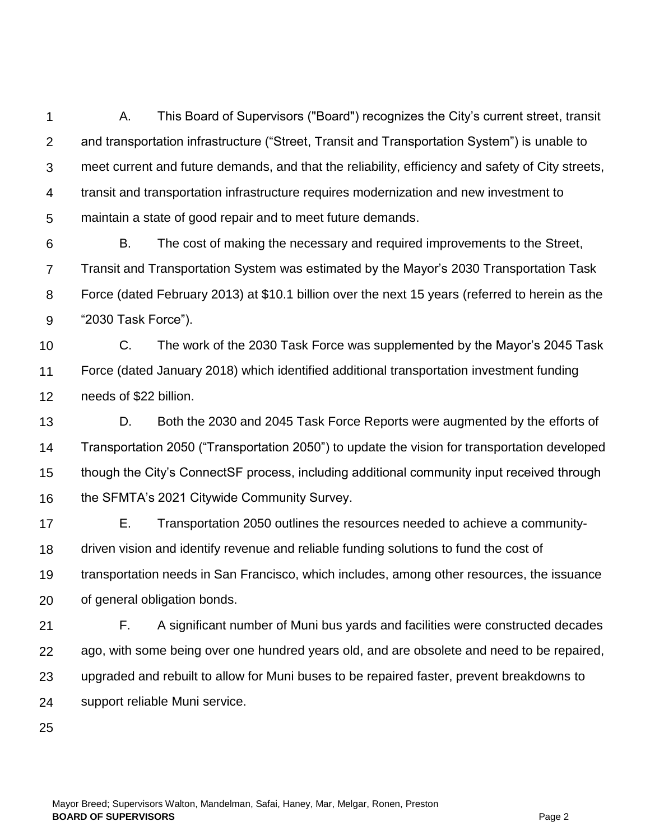1  $\mathcal{P}$ 3 4 5 A. This Board of Supervisors ("Board") recognizes the City's current street, transit and transportation infrastructure ("Street, Transit and Transportation System") is unable to meet current and future demands, and that the reliability, efficiency and safety of City streets, transit and transportation infrastructure requires modernization and new investment to maintain a state of good repair and to meet future demands.

6 7 8 9 B. The cost of making the necessary and required improvements to the Street, Transit and Transportation System was estimated by the Mayor's 2030 Transportation Task Force (dated February 2013) at \$10.1 billion over the next 15 years (referred to herein as the "2030 Task Force").

10 11 12 C. The work of the 2030 Task Force was supplemented by the Mayor's 2045 Task Force (dated January 2018) which identified additional transportation investment funding needs of \$22 billion.

13 14 15 16 D. Both the 2030 and 2045 Task Force Reports were augmented by the efforts of Transportation 2050 ("Transportation 2050") to update the vision for transportation developed though the City's ConnectSF process, including additional community input received through the SFMTA's 2021 Citywide Community Survey.

17 18 19 20 E. Transportation 2050 outlines the resources needed to achieve a communitydriven vision and identify revenue and reliable funding solutions to fund the cost of transportation needs in San Francisco, which includes, among other resources, the issuance of general obligation bonds.

21 22 23 24 F. A significant number of Muni bus yards and facilities were constructed decades ago, with some being over one hundred years old, and are obsolete and need to be repaired, upgraded and rebuilt to allow for Muni buses to be repaired faster, prevent breakdowns to support reliable Muni service.

25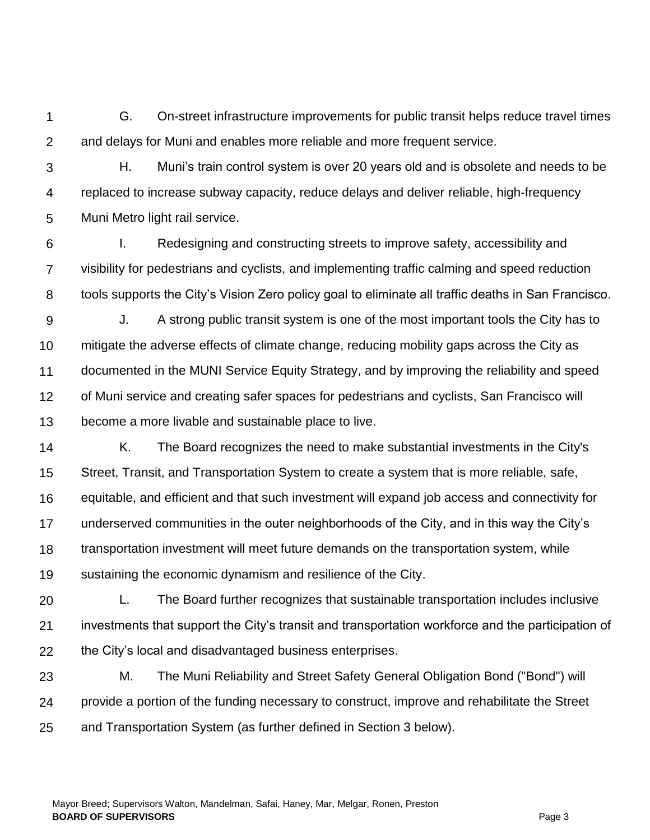1  $\mathcal{P}$ G. On-street infrastructure improvements for public transit helps reduce travel times and delays for Muni and enables more reliable and more frequent service.

- 3 4 5 H. Muni's train control system is over 20 years old and is obsolete and needs to be replaced to increase subway capacity, reduce delays and deliver reliable, high-frequency Muni Metro light rail service.
- 6 7 8 I. Redesigning and constructing streets to improve safety, accessibility and visibility for pedestrians and cyclists, and implementing traffic calming and speed reduction tools supports the City's Vision Zero policy goal to eliminate all traffic deaths in San Francisco.
- 9 10 11 12 13 J. A strong public transit system is one of the most important tools the City has to mitigate the adverse effects of climate change, reducing mobility gaps across the City as documented in the MUNI Service Equity Strategy, and by improving the reliability and speed of Muni service and creating safer spaces for pedestrians and cyclists, San Francisco will become a more livable and sustainable place to live.
- 14 15 16 17 18 19 K. The Board recognizes the need to make substantial investments in the City's Street, Transit, and Transportation System to create a system that is more reliable, safe, equitable, and efficient and that such investment will expand job access and connectivity for underserved communities in the outer neighborhoods of the City, and in this way the City's transportation investment will meet future demands on the transportation system, while sustaining the economic dynamism and resilience of the City.
- 20 21 22 L. The Board further recognizes that sustainable transportation includes inclusive investments that support the City's transit and transportation workforce and the participation of the City's local and disadvantaged business enterprises.
- 23 24 25 M. The Muni Reliability and Street Safety General Obligation Bond ("Bond") will provide a portion of the funding necessary to construct, improve and rehabilitate the Street and Transportation System (as further defined in Section 3 below).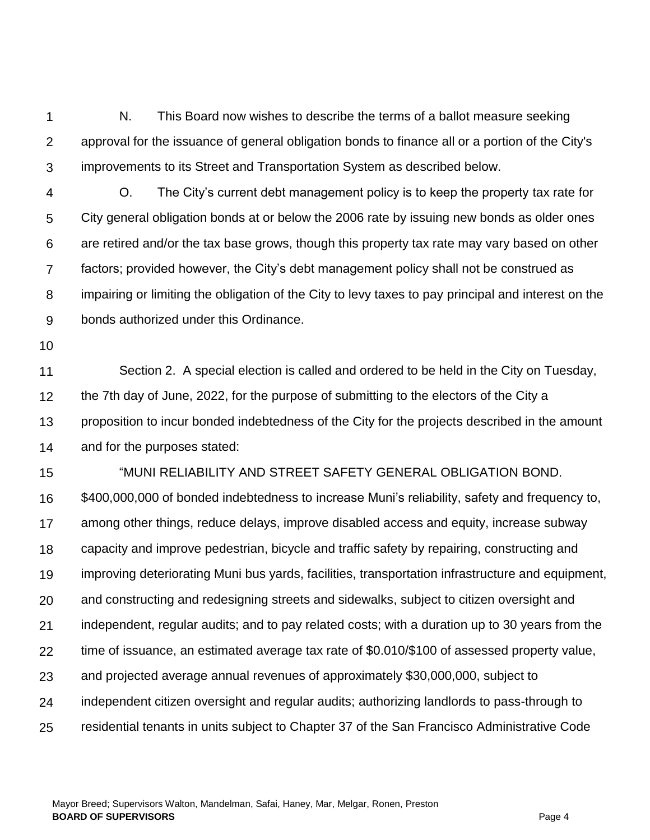1  $\mathcal{P}$ 3 N. This Board now wishes to describe the terms of a ballot measure seeking approval for the issuance of general obligation bonds to finance all or a portion of the City's improvements to its Street and Transportation System as described below.

4 5 6 7 8 9 O. The City's current debt management policy is to keep the property tax rate for City general obligation bonds at or below the 2006 rate by issuing new bonds as older ones are retired and/or the tax base grows, though this property tax rate may vary based on other factors; provided however, the City's debt management policy shall not be construed as impairing or limiting the obligation of the City to levy taxes to pay principal and interest on the bonds authorized under this Ordinance.

10

11 12 13 14 Section 2. A special election is called and ordered to be held in the City on Tuesday, the 7th day of June, 2022, for the purpose of submitting to the electors of the City a proposition to incur bonded indebtedness of the City for the projects described in the amount and for the purposes stated:

15 "MUNI RELIABILITY AND STREET SAFETY GENERAL OBLIGATION BOND.

16 17 18 19 20 21 22 23 24 25 \$400,000,000 of bonded indebtedness to increase Muni's reliability, safety and frequency to, among other things, reduce delays, improve disabled access and equity, increase subway capacity and improve pedestrian, bicycle and traffic safety by repairing, constructing and improving deteriorating Muni bus yards, facilities, transportation infrastructure and equipment, and constructing and redesigning streets and sidewalks, subject to citizen oversight and independent, regular audits; and to pay related costs; with a duration up to 30 years from the time of issuance, an estimated average tax rate of \$0.010/\$100 of assessed property value, and projected average annual revenues of approximately \$30,000,000, subject to independent citizen oversight and regular audits; authorizing landlords to pass-through to residential tenants in units subject to Chapter 37 of the San Francisco Administrative Code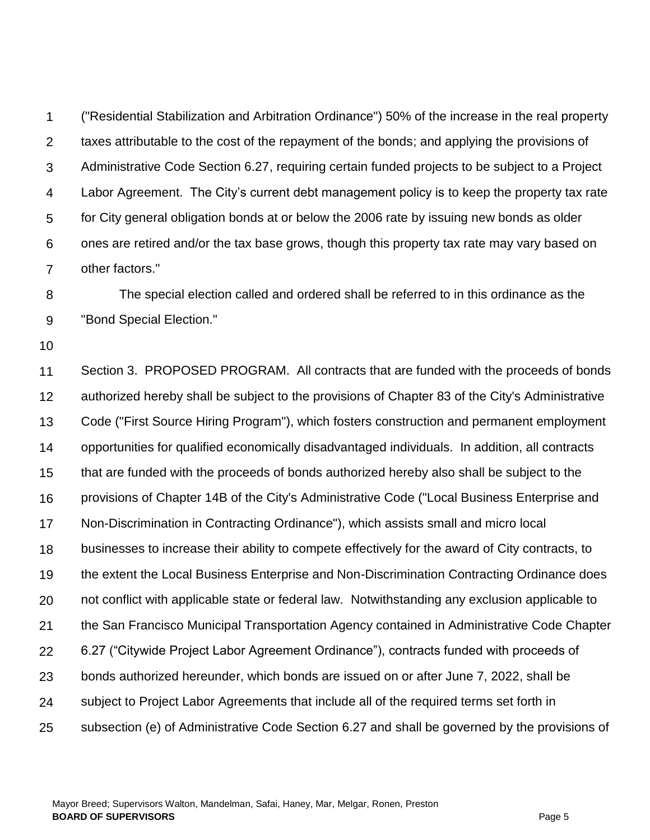1  $\mathcal{P}$ 3 4 5 6 7 ("Residential Stabilization and Arbitration Ordinance") 50% of the increase in the real property taxes attributable to the cost of the repayment of the bonds; and applying the provisions of Administrative Code Section 6.27, requiring certain funded projects to be subject to a Project Labor Agreement. The City's current debt management policy is to keep the property tax rate for City general obligation bonds at or below the 2006 rate by issuing new bonds as older ones are retired and/or the tax base grows, though this property tax rate may vary based on other factors."

8 9 The special election called and ordered shall be referred to in this ordinance as the "Bond Special Election."

10

11 12 13 14 15 16 17 18 19 20 21 22 23 24 25 Section 3. PROPOSED PROGRAM. All contracts that are funded with the proceeds of bonds authorized hereby shall be subject to the provisions of Chapter 83 of the City's Administrative Code ("First Source Hiring Program"), which fosters construction and permanent employment opportunities for qualified economically disadvantaged individuals. In addition, all contracts that are funded with the proceeds of bonds authorized hereby also shall be subject to the provisions of Chapter 14B of the City's Administrative Code ("Local Business Enterprise and Non-Discrimination in Contracting Ordinance"), which assists small and micro local businesses to increase their ability to compete effectively for the award of City contracts, to the extent the Local Business Enterprise and Non-Discrimination Contracting Ordinance does not conflict with applicable state or federal law. Notwithstanding any exclusion applicable to the San Francisco Municipal Transportation Agency contained in Administrative Code Chapter 6.27 ("Citywide Project Labor Agreement Ordinance"), contracts funded with proceeds of bonds authorized hereunder, which bonds are issued on or after June 7, 2022, shall be subject to Project Labor Agreements that include all of the required terms set forth in subsection (e) of Administrative Code Section 6.27 and shall be governed by the provisions of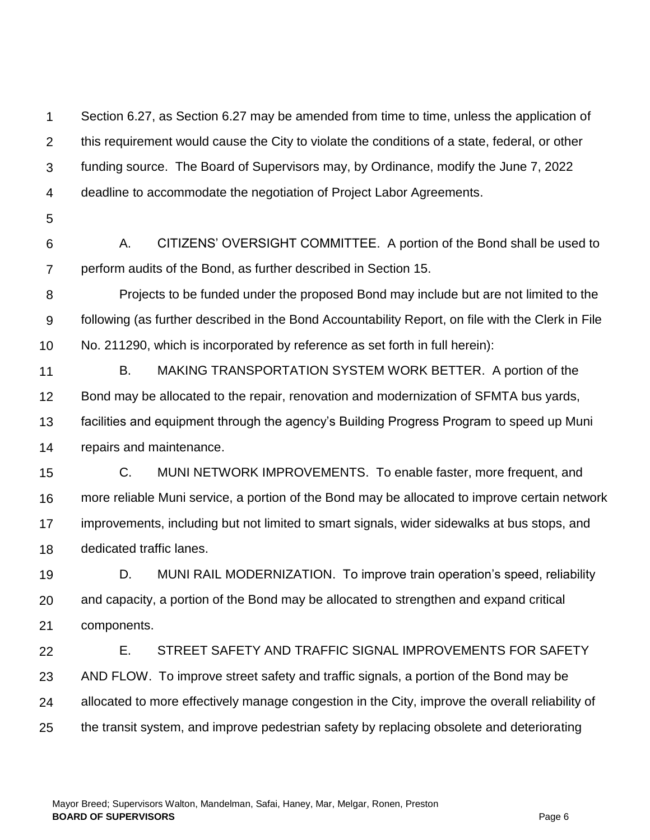1  $\mathcal{P}$ 3 4 5 Section 6.27, as Section 6.27 may be amended from time to time, unless the application of this requirement would cause the City to violate the conditions of a state, federal, or other funding source. The Board of Supervisors may, by Ordinance, modify the June 7, 2022 deadline to accommodate the negotiation of Project Labor Agreements.

6 7 A. CITIZENS' OVERSIGHT COMMITTEE. A portion of the Bond shall be used to perform audits of the Bond, as further described in Section 15.

8 9 10 Projects to be funded under the proposed Bond may include but are not limited to the following (as further described in the Bond Accountability Report, on file with the Clerk in File No. 211290, which is incorporated by reference as set forth in full herein):

- 11 12 13 14 B. MAKING TRANSPORTATION SYSTEM WORK BETTER. A portion of the Bond may be allocated to the repair, renovation and modernization of SFMTA bus yards, facilities and equipment through the agency's Building Progress Program to speed up Muni repairs and maintenance.
- 15 16 17 18 C. MUNI NETWORK IMPROVEMENTS. To enable faster, more frequent, and more reliable Muni service, a portion of the Bond may be allocated to improve certain network improvements, including but not limited to smart signals, wider sidewalks at bus stops, and dedicated traffic lanes.

19 20 21 D. MUNI RAIL MODERNIZATION. To improve train operation's speed, reliability and capacity, a portion of the Bond may be allocated to strengthen and expand critical components.

22 23 24 25 E. STREET SAFETY AND TRAFFIC SIGNAL IMPROVEMENTS FOR SAFETY AND FLOW. To improve street safety and traffic signals, a portion of the Bond may be allocated to more effectively manage congestion in the City, improve the overall reliability of the transit system, and improve pedestrian safety by replacing obsolete and deteriorating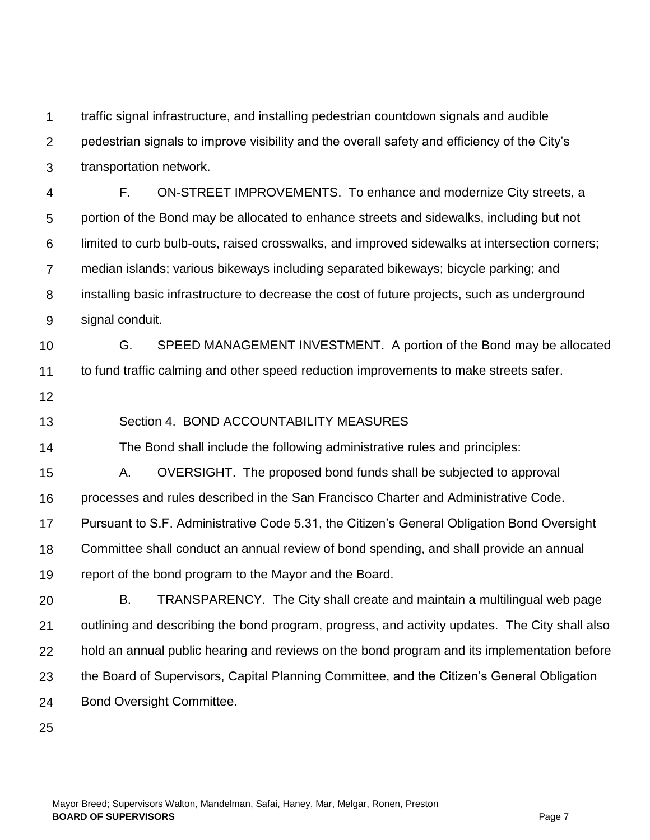1 traffic signal infrastructure, and installing pedestrian countdown signals and audible

 $\mathcal{P}$ pedestrian signals to improve visibility and the overall safety and efficiency of the City's

3 transportation network.

4 5 6 7 8 9 F. ON-STREET IMPROVEMENTS. To enhance and modernize City streets, a portion of the Bond may be allocated to enhance streets and sidewalks, including but not limited to curb bulb-outs, raised crosswalks, and improved sidewalks at intersection corners; median islands; various bikeways including separated bikeways; bicycle parking; and installing basic infrastructure to decrease the cost of future projects, such as underground signal conduit.

10 11 G. SPEED MANAGEMENT INVESTMENT. A portion of the Bond may be allocated to fund traffic calming and other speed reduction improvements to make streets safer.

12

13 Section 4. BOND ACCOUNTABILITY MEASURES

14 The Bond shall include the following administrative rules and principles:

15 A. OVERSIGHT. The proposed bond funds shall be subjected to approval

16 processes and rules described in the San Francisco Charter and Administrative Code.

17 Pursuant to S.F. Administrative Code 5.31, the Citizen's General Obligation Bond Oversight

18 Committee shall conduct an annual review of bond spending, and shall provide an annual

19 report of the bond program to the Mayor and the Board.

20 21 22 23 24 B. TRANSPARENCY. The City shall create and maintain a multilingual web page outlining and describing the bond program, progress, and activity updates. The City shall also hold an annual public hearing and reviews on the bond program and its implementation before the Board of Supervisors, Capital Planning Committee, and the Citizen's General Obligation Bond Oversight Committee.

25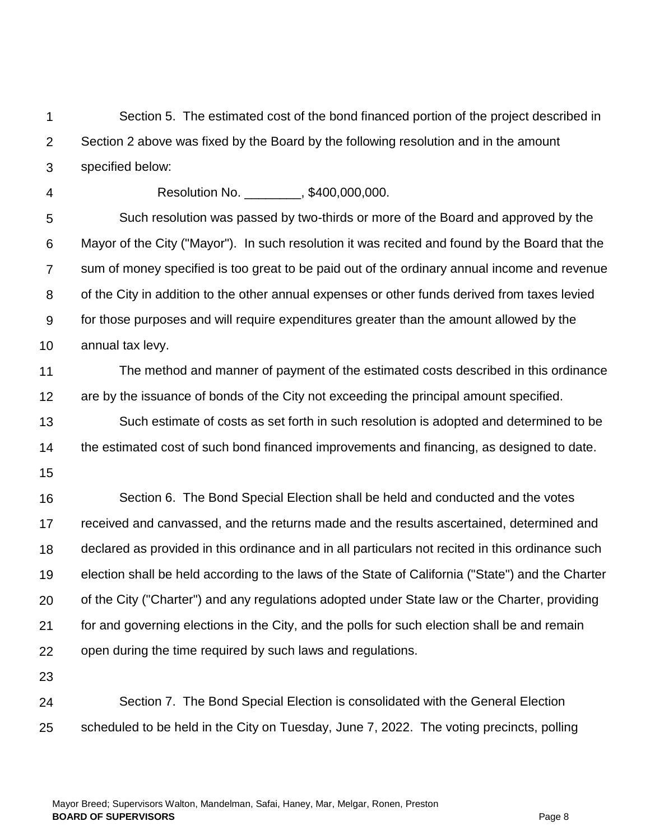$\mathcal{P}$ 3 4 5 6 7 8 9 10 11 12 13 14 15 16 17 18 19 20 21 22 23 24 25 Section 2 above was fixed by the Board by the following resolution and in the amount specified below: Resolution No. \_\_\_\_\_\_\_\_, \$400,000,000. Such resolution was passed by two-thirds or more of the Board and approved by the Mayor of the City ("Mayor"). In such resolution it was recited and found by the Board that the sum of money specified is too great to be paid out of the ordinary annual income and revenue of the City in addition to the other annual expenses or other funds derived from taxes levied for those purposes and will require expenditures greater than the amount allowed by the annual tax levy. The method and manner of payment of the estimated costs described in this ordinance are by the issuance of bonds of the City not exceeding the principal amount specified. Such estimate of costs as set forth in such resolution is adopted and determined to be the estimated cost of such bond financed improvements and financing, as designed to date. Section 6. The Bond Special Election shall be held and conducted and the votes received and canvassed, and the returns made and the results ascertained, determined and declared as provided in this ordinance and in all particulars not recited in this ordinance such election shall be held according to the laws of the State of California ("State") and the Charter of the City ("Charter") and any regulations adopted under State law or the Charter, providing for and governing elections in the City, and the polls for such election shall be and remain open during the time required by such laws and regulations. Section 7. The Bond Special Election is consolidated with the General Election scheduled to be held in the City on Tuesday, June 7, 2022. The voting precincts, polling

Section 5. The estimated cost of the bond financed portion of the project described in

1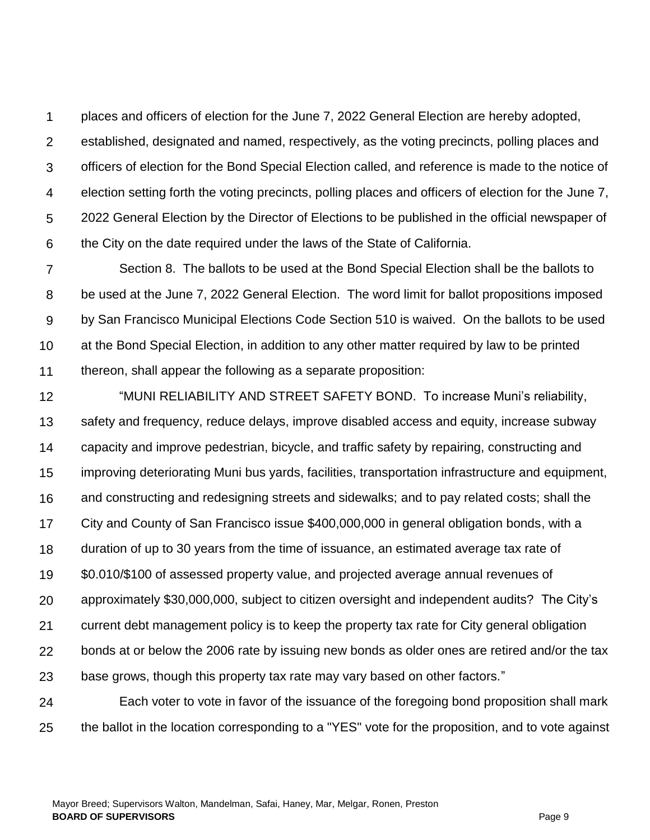1  $\mathcal{P}$ 3 4 5 6 places and officers of election for the June 7, 2022 General Election are hereby adopted, established, designated and named, respectively, as the voting precincts, polling places and officers of election for the Bond Special Election called, and reference is made to the notice of election setting forth the voting precincts, polling places and officers of election for the June 7, 2022 General Election by the Director of Elections to be published in the official newspaper of the City on the date required under the laws of the State of California.

7 8 9 10 11 Section 8. The ballots to be used at the Bond Special Election shall be the ballots to be used at the June 7, 2022 General Election. The word limit for ballot propositions imposed by San Francisco Municipal Elections Code Section 510 is waived. On the ballots to be used at the Bond Special Election, in addition to any other matter required by law to be printed thereon, shall appear the following as a separate proposition:

12 13 14 15 16 17 18 19 20 21 22 23 24 25 "MUNI RELIABILITY AND STREET SAFETY BOND. To increase Muni's reliability, safety and frequency, reduce delays, improve disabled access and equity, increase subway capacity and improve pedestrian, bicycle, and traffic safety by repairing, constructing and improving deteriorating Muni bus yards, facilities, transportation infrastructure and equipment, and constructing and redesigning streets and sidewalks; and to pay related costs; shall the City and County of San Francisco issue \$400,000,000 in general obligation bonds, with a duration of up to 30 years from the time of issuance, an estimated average tax rate of \$0.010/\$100 of assessed property value, and projected average annual revenues of approximately \$30,000,000, subject to citizen oversight and independent audits? The City's current debt management policy is to keep the property tax rate for City general obligation bonds at or below the 2006 rate by issuing new bonds as older ones are retired and/or the tax base grows, though this property tax rate may vary based on other factors." Each voter to vote in favor of the issuance of the foregoing bond proposition shall mark the ballot in the location corresponding to a "YES" vote for the proposition, and to vote against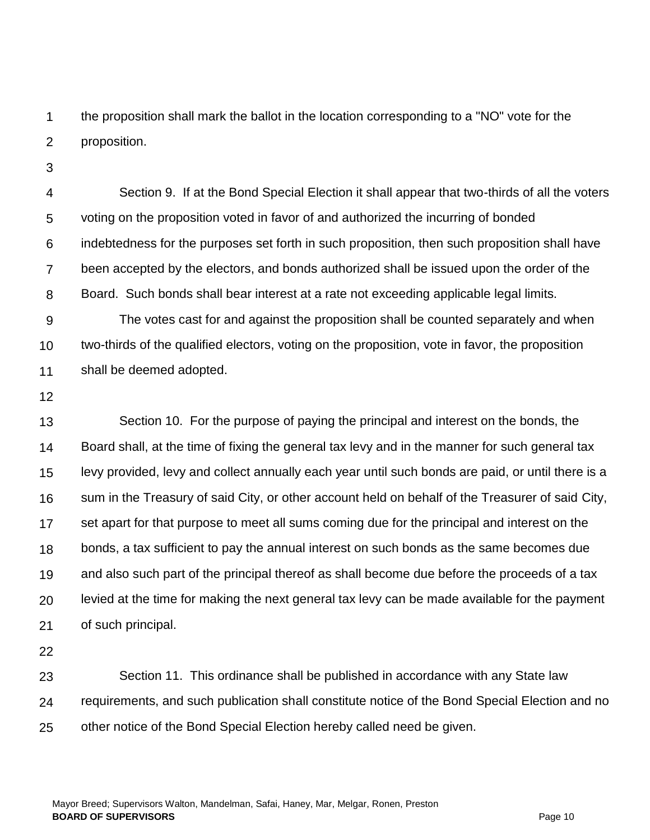1  $\mathcal{P}$ the proposition shall mark the ballot in the location corresponding to a "NO" vote for the proposition.

3

4 5 6 7 8 9 10 11 Section 9. If at the Bond Special Election it shall appear that two-thirds of all the voters voting on the proposition voted in favor of and authorized the incurring of bonded indebtedness for the purposes set forth in such proposition, then such proposition shall have been accepted by the electors, and bonds authorized shall be issued upon the order of the Board. Such bonds shall bear interest at a rate not exceeding applicable legal limits. The votes cast for and against the proposition shall be counted separately and when two-thirds of the qualified electors, voting on the proposition, vote in favor, the proposition shall be deemed adopted.

12

13 14 15 16 17 18 19 20 21 Section 10. For the purpose of paying the principal and interest on the bonds, the Board shall, at the time of fixing the general tax levy and in the manner for such general tax levy provided, levy and collect annually each year until such bonds are paid, or until there is a sum in the Treasury of said City, or other account held on behalf of the Treasurer of said City, set apart for that purpose to meet all sums coming due for the principal and interest on the bonds, a tax sufficient to pay the annual interest on such bonds as the same becomes due and also such part of the principal thereof as shall become due before the proceeds of a tax levied at the time for making the next general tax levy can be made available for the payment of such principal.

22

23 24 25 Section 11. This ordinance shall be published in accordance with any State law requirements, and such publication shall constitute notice of the Bond Special Election and no other notice of the Bond Special Election hereby called need be given.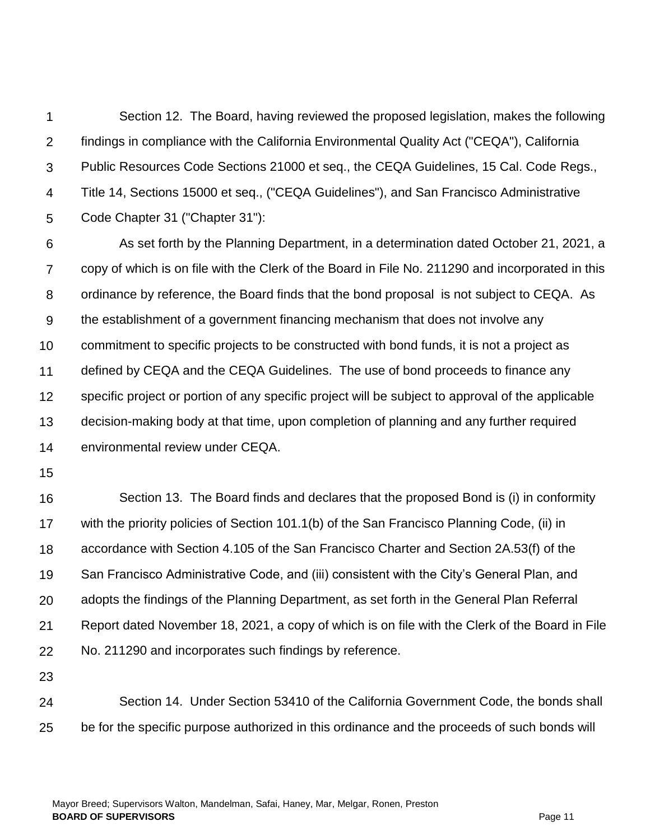1  $\mathcal{P}$ 3 4 5 6 7 8 9 10 11 12 13 14 15 16 17 18 Section 12. The Board, having reviewed the proposed legislation, makes the following findings in compliance with the California Environmental Quality Act ("CEQA"), California Public Resources Code Sections 21000 et seq., the CEQA Guidelines, 15 Cal. Code Regs., Title 14, Sections 15000 et seq., ("CEQA Guidelines"), and San Francisco Administrative Code Chapter 31 ("Chapter 31"): As set forth by the Planning Department, in a determination dated October 21, 2021, a copy of which is on file with the Clerk of the Board in File No. 211290 and incorporated in this ordinance by reference, the Board finds that the bond proposal is not subject to CEQA. As the establishment of a government financing mechanism that does not involve any commitment to specific projects to be constructed with bond funds, it is not a project as defined by CEQA and the CEQA Guidelines. The use of bond proceeds to finance any specific project or portion of any specific project will be subject to approval of the applicable decision-making body at that time, upon completion of planning and any further required environmental review under CEQA. Section 13. The Board finds and declares that the proposed Bond is (i) in conformity with the priority policies of Section 101.1(b) of the San Francisco Planning Code, (ii) in accordance with Section 4.105 of the San Francisco Charter and Section 2A.53(f) of the

19 San Francisco Administrative Code, and (iii) consistent with the City's General Plan, and

21 Report dated November 18, 2021, a copy of which is on file with the Clerk of the Board in File

adopts the findings of the Planning Department, as set forth in the General Plan Referral

22 No. 211290 and incorporates such findings by reference.

23

20

24 25 Section 14. Under Section 53410 of the California Government Code, the bonds shall be for the specific purpose authorized in this ordinance and the proceeds of such bonds will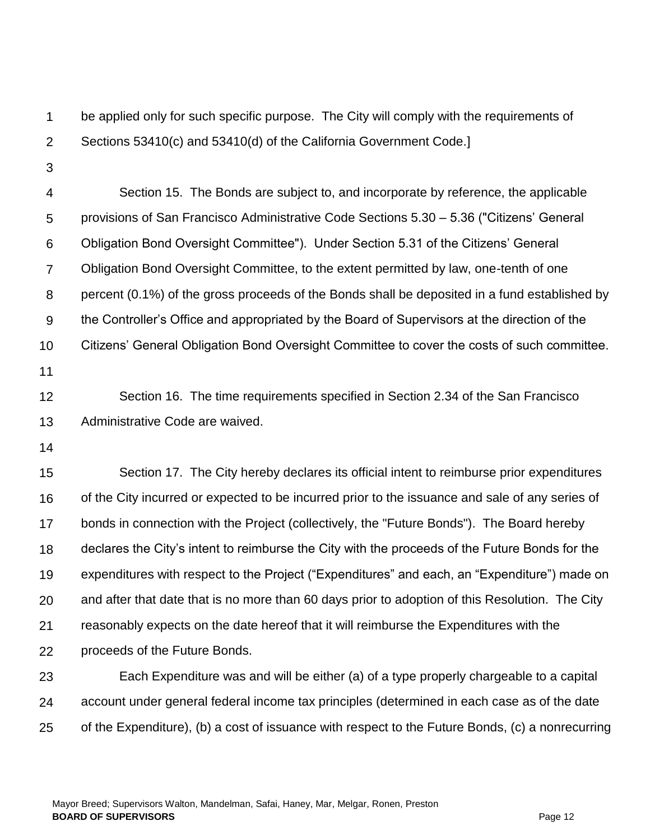1  $\mathcal{P}$ be applied only for such specific purpose. The City will comply with the requirements of Sections 53410(c) and 53410(d) of the California Government Code.]

3

4 5 6 7 8 9 10 Section 15. The Bonds are subject to, and incorporate by reference, the applicable provisions of San Francisco Administrative Code Sections 5.30 – 5.36 ("Citizens' General Obligation Bond Oversight Committee"). Under Section 5.31 of the Citizens' General Obligation Bond Oversight Committee, to the extent permitted by law, one-tenth of one percent (0.1%) of the gross proceeds of the Bonds shall be deposited in a fund established by the Controller's Office and appropriated by the Board of Supervisors at the direction of the Citizens' General Obligation Bond Oversight Committee to cover the costs of such committee.

11

12 13 Section 16. The time requirements specified in Section 2.34 of the San Francisco Administrative Code are waived.

14

15 16 17 18 19 20 21 22 Section 17. The City hereby declares its official intent to reimburse prior expenditures of the City incurred or expected to be incurred prior to the issuance and sale of any series of bonds in connection with the Project (collectively, the "Future Bonds"). The Board hereby declares the City's intent to reimburse the City with the proceeds of the Future Bonds for the expenditures with respect to the Project ("Expenditures" and each, an "Expenditure") made on and after that date that is no more than 60 days prior to adoption of this Resolution. The City reasonably expects on the date hereof that it will reimburse the Expenditures with the proceeds of the Future Bonds.

23 24 25 Each Expenditure was and will be either (a) of a type properly chargeable to a capital account under general federal income tax principles (determined in each case as of the date of the Expenditure), (b) a cost of issuance with respect to the Future Bonds, (c) a nonrecurring